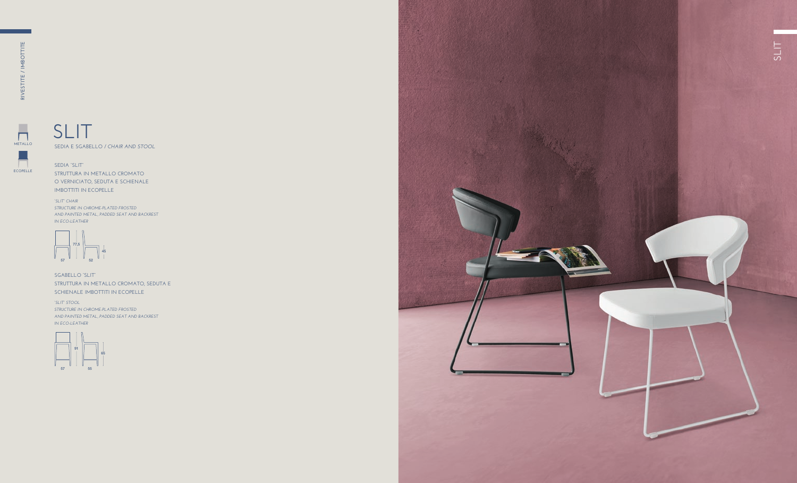**SEDIA "SLIT" STRUTTURA IN METALLO CROMATO O VERNICIATO, SEDUTA E SCHIENALE IMBOTTITI IN ECOPELLE**

**SGABELLO "SLIT" STRUTTURA IN METALLO CROMATO, SEDUTA E SCHIENALE IMBOTTITI IN ECOPELLE**

 $\overline{\phantom{a}}$  $\mathbf{I}$ **ECOPELLE**

# **SEDIA E SGABELLO /** *CHAIR AND STOOL* **SLIT**

*"SLIT" CHAIR STRUCTURE IN CHROME-PLATED FROSTED AND PAINTED METAL, PADDED SEAT AND BACKREST IN ECO-LEATHER*

*"SLIT" STOOL STRUCTURE IN CHROME-PLATED FROSTED AND PAINTED METAL, PADDED SEAT AND BACKREST IN ECO-LEATHER*





**METALLO**